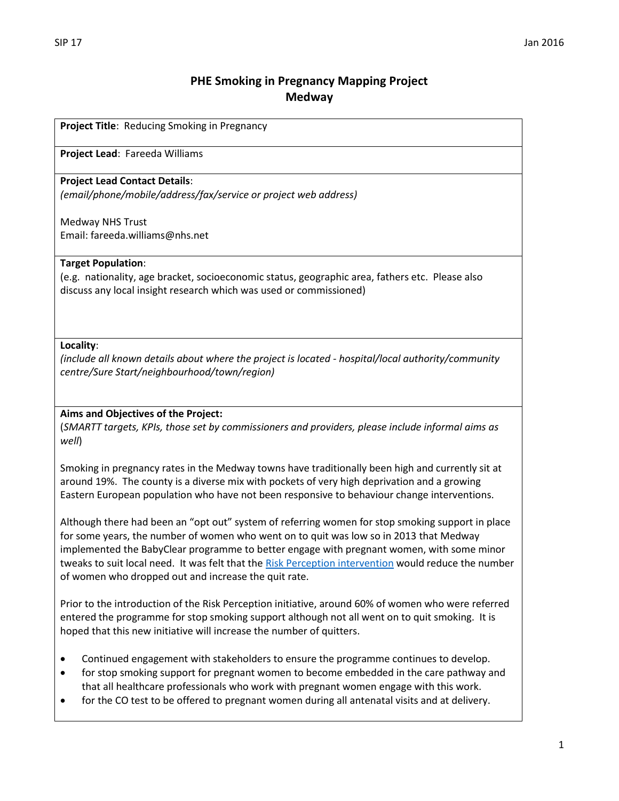# **PHE Smoking in Pregnancy Mapping Project Medway**

**Project Title**: Reducing Smoking in Pregnancy

**Project Lead**: Fareeda Williams

# **Project Lead Contact Details**:

*(email/phone/mobile/address/fax/service or project web address)*

Medway NHS Trust Email: fareeda.williams@nhs.net

## **Target Population**:

(e.g. nationality, age bracket, socioeconomic status, geographic area, fathers etc. Please also discuss any local insight research which was used or commissioned)

## **Locality**:

*(include all known details about where the project is located - hospital/local authority/community centre/Sure Start/neighbourhood/town/region)*

# **Aims and Objectives of the Project:**

(*SMARTT targets, KPIs, those set by commissioners and providers, please include informal aims as well*)

Smoking in pregnancy rates in the Medway towns have traditionally been high and currently sit at around 19%. The county is a diverse mix with pockets of very high deprivation and a growing Eastern European population who have not been responsive to behaviour change interventions.

Although there had been an "opt out" system of referring women for stop smoking support in place for some years, the number of women who went on to quit was low so in 2013 that Medway implemented the BabyClear programme to better engage with pregnant women, with some minor tweaks to suit local need. It was felt that th[e Risk Perception intervention](http://www.magonlinelibrary.com/doi/10.12968/bjom.2012.20.4.236) would reduce the number of women who dropped out and increase the quit rate.

Prior to the introduction of the Risk Perception initiative, around 60% of women who were referred entered the programme for stop smoking support although not all went on to quit smoking. It is hoped that this new initiative will increase the number of quitters.

- Continued engagement with stakeholders to ensure the programme continues to develop.
- for stop smoking support for pregnant women to become embedded in the care pathway and that all healthcare professionals who work with pregnant women engage with this work.
- for the CO test to be offered to pregnant women during all antenatal visits and at delivery.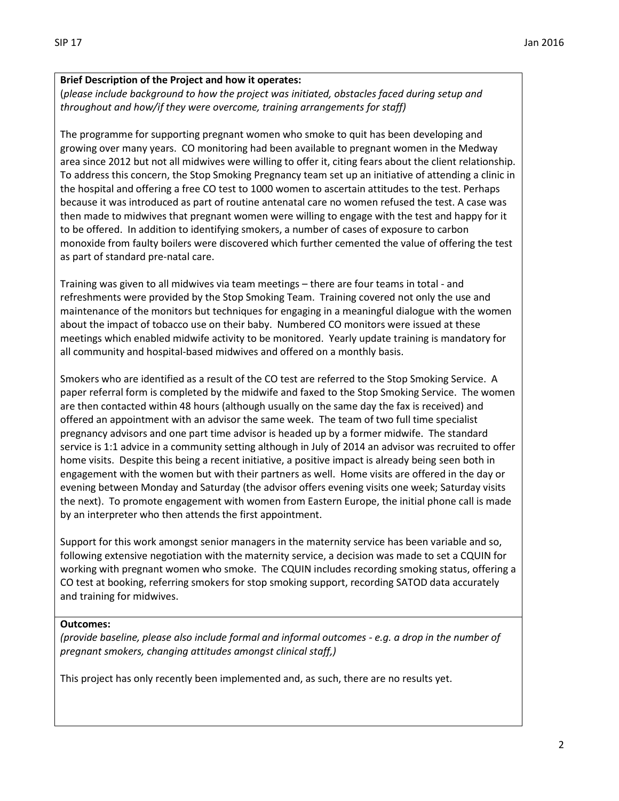# **Brief Description of the Project and how it operates:**

(*please include background to how the project was initiated, obstacles faced during setup and throughout and how/if they were overcome, training arrangements for staff)*

The programme for supporting pregnant women who smoke to quit has been developing and growing over many years. CO monitoring had been available to pregnant women in the Medway area since 2012 but not all midwives were willing to offer it, citing fears about the client relationship. To address this concern, the Stop Smoking Pregnancy team set up an initiative of attending a clinic in the hospital and offering a free CO test to 1000 women to ascertain attitudes to the test. Perhaps because it was introduced as part of routine antenatal care no women refused the test. A case was then made to midwives that pregnant women were willing to engage with the test and happy for it to be offered. In addition to identifying smokers, a number of cases of exposure to carbon monoxide from faulty boilers were discovered which further cemented the value of offering the test as part of standard pre-natal care.

Training was given to all midwives via team meetings – there are four teams in total - and refreshments were provided by the Stop Smoking Team. Training covered not only the use and maintenance of the monitors but techniques for engaging in a meaningful dialogue with the women about the impact of tobacco use on their baby. Numbered CO monitors were issued at these meetings which enabled midwife activity to be monitored. Yearly update training is mandatory for all community and hospital-based midwives and offered on a monthly basis.

Smokers who are identified as a result of the CO test are referred to the Stop Smoking Service. A paper referral form is completed by the midwife and faxed to the Stop Smoking Service. The women are then contacted within 48 hours (although usually on the same day the fax is received) and offered an appointment with an advisor the same week. The team of two full time specialist pregnancy advisors and one part time advisor is headed up by a former midwife. The standard service is 1:1 advice in a community setting although in July of 2014 an advisor was recruited to offer home visits. Despite this being a recent initiative, a positive impact is already being seen both in engagement with the women but with their partners as well. Home visits are offered in the day or evening between Monday and Saturday (the advisor offers evening visits one week; Saturday visits the next). To promote engagement with women from Eastern Europe, the initial phone call is made by an interpreter who then attends the first appointment.

Support for this work amongst senior managers in the maternity service has been variable and so, following extensive negotiation with the maternity service, a decision was made to set a CQUIN for working with pregnant women who smoke. The CQUIN includes recording smoking status, offering a CO test at booking, referring smokers for stop smoking support, recording SATOD data accurately and training for midwives.

#### **Outcomes:**

*(provide baseline, please also include formal and informal outcomes - e.g. a drop in the number of pregnant smokers, changing attitudes amongst clinical staff,)*

This project has only recently been implemented and, as such, there are no results yet.